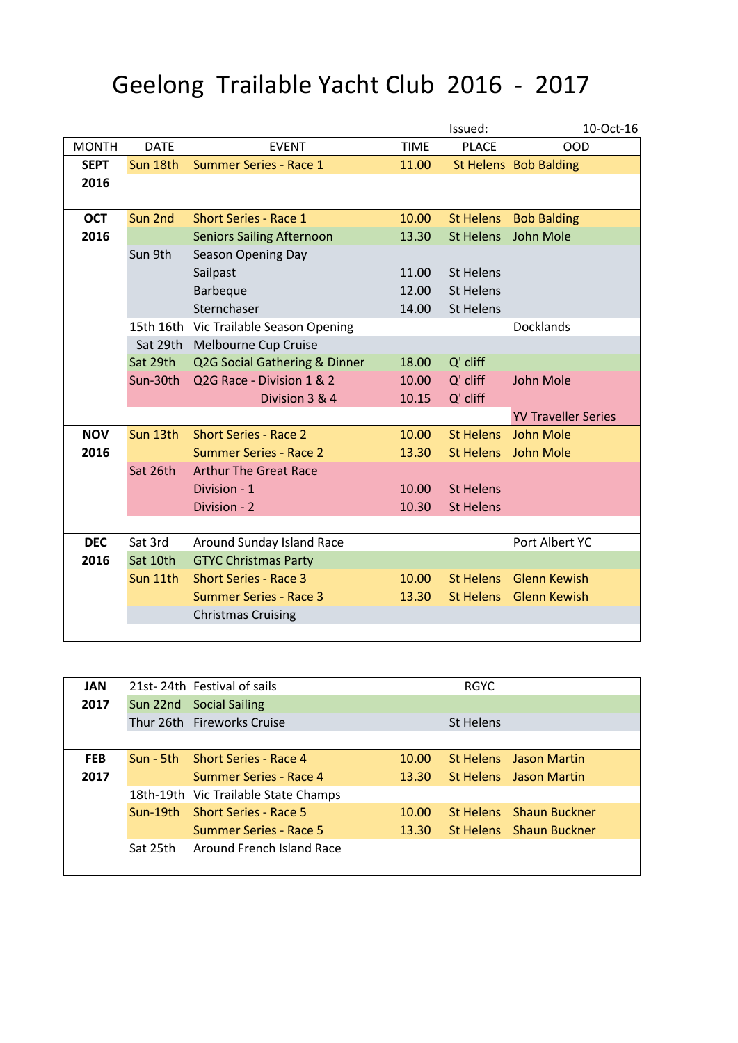## Geelong Trailable Yacht Club 2016 - 2017

|              |             |                                  |             | Issued:          | 10-Oct-16                  |
|--------------|-------------|----------------------------------|-------------|------------------|----------------------------|
| <b>MONTH</b> | <b>DATE</b> | <b>EVENT</b>                     | <b>TIME</b> | <b>PLACE</b>     | <b>OOD</b>                 |
| <b>SEPT</b>  | Sun 18th    | <b>Summer Series - Race 1</b>    | 11.00       |                  | St Helens Bob Balding      |
| 2016         |             |                                  |             |                  |                            |
|              |             |                                  |             |                  |                            |
| <b>OCT</b>   | Sun 2nd     | <b>Short Series - Race 1</b>     | 10.00       | <b>St Helens</b> | <b>Bob Balding</b>         |
| 2016         |             | <b>Seniors Sailing Afternoon</b> | 13.30       | <b>St Helens</b> | <b>John Mole</b>           |
|              | Sun 9th     | Season Opening Day               |             |                  |                            |
|              |             | Sailpast                         | 11.00       | <b>St Helens</b> |                            |
|              |             | <b>Barbeque</b>                  | 12.00       | <b>St Helens</b> |                            |
|              |             | Sternchaser                      | 14.00       | <b>St Helens</b> |                            |
|              | 15th 16th   | Vic Trailable Season Opening     |             |                  | Docklands                  |
|              | Sat 29th    | Melbourne Cup Cruise             |             |                  |                            |
|              | Sat 29th    | Q2G Social Gathering & Dinner    | 18.00       | Q' cliff         |                            |
|              | Sun-30th    | Q2G Race - Division 1 & 2        | 10.00       | Q' cliff         | <b>John Mole</b>           |
|              |             | Division 3 & 4                   | 10.15       | Q' cliff         |                            |
|              |             |                                  |             |                  | <b>YV Traveller Series</b> |
| <b>NOV</b>   | Sun 13th    | <b>Short Series - Race 2</b>     | 10.00       | <b>St Helens</b> | John Mole                  |
| 2016         |             | <b>Summer Series - Race 2</b>    | 13.30       | <b>St Helens</b> | John Mole                  |
|              | Sat 26th    | <b>Arthur The Great Race</b>     |             |                  |                            |
|              |             | Division - 1                     | 10.00       | <b>St Helens</b> |                            |
|              |             | Division - 2                     | 10.30       | <b>St Helens</b> |                            |
|              |             |                                  |             |                  |                            |
| <b>DEC</b>   | Sat 3rd     | Around Sunday Island Race        |             |                  | Port Albert YC             |
| 2016         | Sat 10th    | <b>GTYC Christmas Party</b>      |             |                  |                            |
|              | Sun 11th    | <b>Short Series - Race 3</b>     | 10.00       | <b>St Helens</b> | <b>Glenn Kewish</b>        |
|              |             | <b>Summer Series - Race 3</b>    | 13.30       | <b>St Helens</b> | <b>Glenn Kewish</b>        |
|              |             | <b>Christmas Cruising</b>        |             |                  |                            |
|              |             |                                  |             |                  |                            |

| <b>JAN</b> |             | 21st-24th Festival of sails            |       | <b>RGYC</b>      |                       |
|------------|-------------|----------------------------------------|-------|------------------|-----------------------|
| 2017       | Sun 22nd    | Social Sailing                         |       |                  |                       |
|            |             | Thur 26th   Fireworks Cruise           |       | St Helens        |                       |
|            |             |                                        |       |                  |                       |
| <b>FEB</b> | $Sun - 5th$ | <b>Short Series - Race 4</b>           | 10.00 | <b>St Helens</b> | <b>Jason Martin</b>   |
| 2017       |             | Summer Series - Race 4                 | 13.30 | <b>St Helens</b> | <b>Jason Martin</b>   |
|            |             | 18th-19th   Vic Trailable State Champs |       |                  |                       |
|            | Sun-19th    | <b>IShort Series - Race 5</b>          | 10.00 | <b>St Helens</b> | <b>IShaun Buckner</b> |
|            |             | Summer Series - Race 5                 | 13.30 | <b>St Helens</b> | <b>Shaun Buckner</b>  |
|            | Sat 25th    | Around French Island Race              |       |                  |                       |
|            |             |                                        |       |                  |                       |